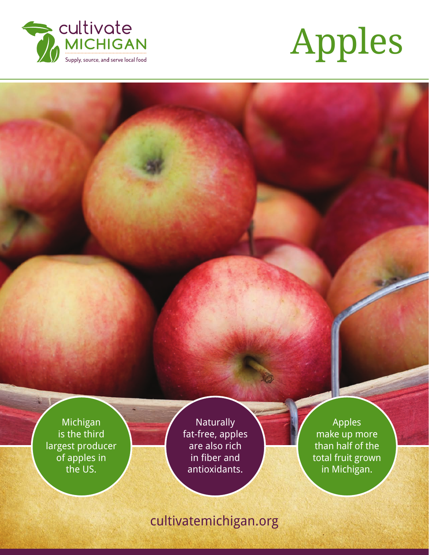



Michigan is the third largest producer of apples in the US.

**Naturally** fat-free, apples are also rich in fiber and antioxidants.

Apples make up more than half of the total fruit grown in Michigan.

# cultivatemichigan.org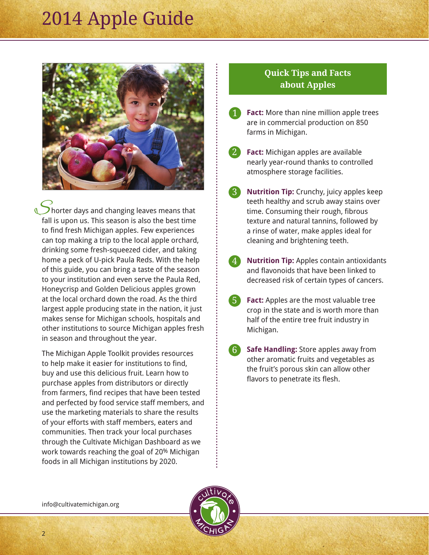

Shorter days and changing leaves means that fall is upon us. This season is also the best time to find fresh Michigan apples. Few experiences can top making a trip to the local apple orchard, drinking some fresh-squeezed cider, and taking home a peck of U-pick Paula Reds. With the help of this guide, you can bring a taste of the season to your institution and even serve the Paula Red, Honeycrisp and Golden Delicious apples grown at the local orchard down the road. As the third largest apple producing state in the nation, it just makes sense for Michigan schools, hospitals and other institutions to source Michigan apples fresh in season and throughout the year.

The Michigan Apple Toolkit provides resources to help make it easier for institutions to find, buy and use this delicious fruit. Learn how to purchase apples from distributors or directly from farmers, find recipes that have been tested and perfected by food service staff members, and use the marketing materials to share the results of your efforts with staff members, eaters and communities. Then track your local purchases through the Cultivate Michigan Dashboard as we work towards reaching the goal of 20% Michigan foods in all Michigan institutions by 2020.

### **Quick Tips and Facts about Apples**

- **Fact:** More than nine million apple trees are in commercial production on 850 farms in Michigan. 1
- **Fact:** Michigan apples are available nearly year-round thanks to controlled atmosphere storage facilities. 2
- **Nutrition Tip:** Crunchy, juicy apples keep teeth healthy and scrub away stains over time. Consuming their rough, fibrous texture and natural tannins, followed by a rinse of water, make apples ideal for cleaning and brightening teeth. 3
- **Nutrition Tip:** Apples contain antioxidants and flavonoids that have been linked to decreased risk of certain types of cancers. 4
- **Fact:** Apples are the most valuable tree crop in the state and is worth more than half of the entire tree fruit industry in Michigan. 5
- **Safe Handling:** Store apples away from other aromatic fruits and vegetables as the fruit's porous skin can allow other flavors to penetrate its flesh. 6

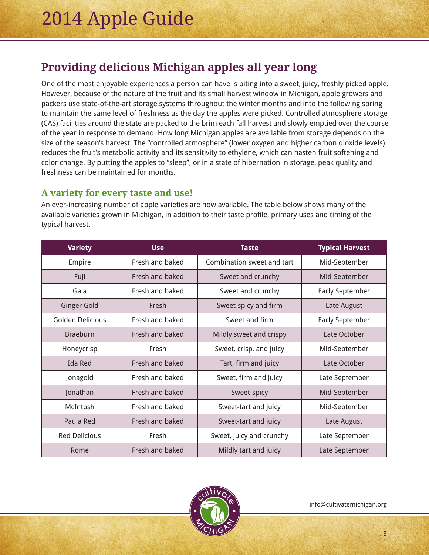## **Providing delicious Michigan apples all year long**

One of the most enjoyable experiences a person can have is biting into a sweet, juicy, freshly picked apple. However, because of the nature of the fruit and its small harvest window in Michigan, apple growers and packers use state-of-the-art storage systems throughout the winter months and into the following spring to maintain the same level of freshness as the day the apples were picked. Controlled atmosphere storage (CAS) facilities around the state are packed to the brim each fall harvest and slowly emptied over the course of the year in response to demand. How long Michigan apples are available from storage depends on the size of the season's harvest. The "controlled atmosphere" (lower oxygen and higher carbon dioxide levels) reduces the fruit's metabolic activity and its sensitivity to ethylene, which can hasten fruit softening and color change. By putting the apples to "sleep", or in a state of hibernation in storage, peak quality and freshness can be maintained for months.

## **A variety for every taste and use!**

An ever-increasing number of apple varieties are now available. The table below shows many of the available varieties grown in Michigan, in addition to their taste profile, primary uses and timing of the typical harvest.

| <b>Variety</b>       | <b>Use</b>      | <b>Taste</b>               | <b>Typical Harvest</b> |
|----------------------|-----------------|----------------------------|------------------------|
| Empire               | Fresh and baked | Combination sweet and tart | Mid-September          |
| Fuji                 | Fresh and baked | Sweet and crunchy          | Mid-September          |
| Gala                 | Fresh and baked | Sweet and crunchy          | <b>Early September</b> |
| <b>Ginger Gold</b>   | Fresh           | Sweet-spicy and firm       | Late August            |
| Golden Delicious     | Fresh and baked | Sweet and firm             | <b>Early September</b> |
| <b>Braeburn</b>      | Fresh and baked | Mildly sweet and crispy    | Late October           |
| Honeycrisp           | Fresh           | Sweet, crisp, and juicy    | Mid-September          |
| Ida Red              | Fresh and baked | Tart, firm and juicy       | Late October           |
| Jonagold             | Fresh and baked | Sweet, firm and juicy      | Late September         |
| Jonathan             | Fresh and baked | Sweet-spicy                | Mid-September          |
| McIntosh             | Fresh and baked | Sweet-tart and juicy       | Mid-September          |
| Paula Red            | Fresh and baked | Sweet-tart and juicy       | Late August            |
| <b>Red Delicious</b> | Fresh           | Sweet, juicy and crunchy   | Late September         |
| Rome                 | Fresh and baked | Mildly tart and juicy      | Late September         |

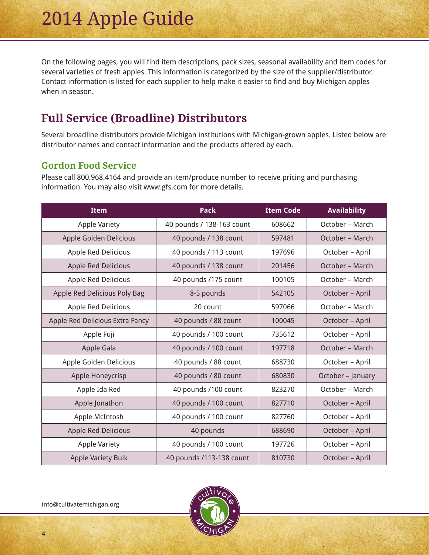On the following pages, you will find item descriptions, pack sizes, seasonal availability and item codes for several varieties of fresh apples. This information is categorized by the size of the supplier/distributor. Contact information is listed for each supplier to help make it easier to find and buy Michigan apples when in season.

## **Full Service (Broadline) Distributors**

Several broadline distributors provide Michigan institutions with Michigan-grown apples. Listed below are distributor names and contact information and the products offered by each.

### **Gordon Food Service**

Please call 800.968.4164 and provide an item/produce number to receive pricing and purchasing information. You may also visit www.gfs.com for more details.

| <b>Item</b>                     | <b>Pack</b>               | <b>Item Code</b> | <b>Availability</b> |
|---------------------------------|---------------------------|------------------|---------------------|
| <b>Apple Variety</b>            | 40 pounds / 138-163 count | 608662           | October - March     |
| Apple Golden Delicious          | 40 pounds / 138 count     | 597481           | October – March     |
| Apple Red Delicious             | 40 pounds / 113 count     | 197696           | October - April     |
| Apple Red Delicious             | 40 pounds / 138 count     | 201456           | October – March     |
| Apple Red Delicious             | 40 pounds /175 count      | 100105           | October – March     |
| Apple Red Delicious Poly Bag    | 8-5 pounds                | 542105           | October - April     |
| Apple Red Delicious             | 20 count                  | 597066           | October – March     |
| Apple Red Delicious Extra Fancy | 40 pounds / 88 count      | 100045           | October - April     |
| Apple Fuji                      | 40 pounds / 100 count     | 735612           | October - April     |
| Apple Gala                      | 40 pounds / 100 count     | 197718           | October - March     |
| Apple Golden Delicious          | 40 pounds / 88 count      | 688730           | October - April     |
| Apple Honeycrisp                | 40 pounds / 80 count      | 680830           | October - January   |
| Apple Ida Red                   | 40 pounds /100 count      | 823270           | October – March     |
| Apple Jonathon                  | 40 pounds / 100 count     | 827710           | October - April     |
| Apple McIntosh                  | 40 pounds / 100 count     | 827760           | October - April     |
| Apple Red Delicious             | 40 pounds                 | 688690           | October - April     |
| Apple Variety                   | 40 pounds / 100 count     | 197726           | October - April     |
| <b>Apple Variety Bulk</b>       | 40 pounds /113-138 count  | 810730           | October - April     |

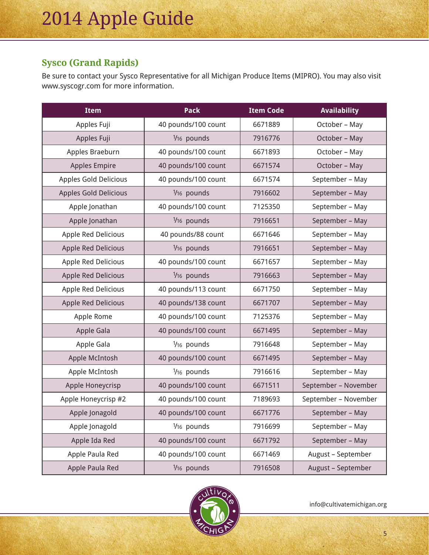## **Sysco (Grand Rapids)**

Be sure to contact your Sysco Representative for all Michigan Produce Items (MIPRO). You may also visit www.syscogr.com for more information.

| <b>Item</b>                | <b>Pack</b>         | <b>Item Code</b> | <b>Availability</b>  |
|----------------------------|---------------------|------------------|----------------------|
| Apples Fuji                | 40 pounds/100 count | 6671889          | October - May        |
| Apples Fuji                | 1/16 pounds         | 7916776          | October - May        |
| Apples Braeburn            | 40 pounds/100 count | 6671893          | October - May        |
| <b>Apples Empire</b>       | 40 pounds/100 count | 6671574          | October - May        |
| Apples Gold Delicious      | 40 pounds/100 count | 6671574          | September - May      |
| Apples Gold Delicious      | 1/16 pounds         | 7916602          | September - May      |
| Apple Jonathan             | 40 pounds/100 count | 7125350          | September - May      |
| Apple Jonathan             | 1/16 pounds         | 7916651          | September - May      |
| Apple Red Delicious        | 40 pounds/88 count  | 6671646          | September - May      |
| Apple Red Delicious        | 1/16 pounds         | 7916651          | September - May      |
| Apple Red Delicious        | 40 pounds/100 count | 6671657          | September - May      |
| <b>Apple Red Delicious</b> | 1/16 pounds         | 7916663          | September - May      |
| Apple Red Delicious        | 40 pounds/113 count | 6671750          | September - May      |
| <b>Apple Red Delicious</b> | 40 pounds/138 count | 6671707          | September - May      |
| Apple Rome                 | 40 pounds/100 count | 7125376          | September - May      |
| Apple Gala                 | 40 pounds/100 count | 6671495          | September - May      |
| Apple Gala                 | 1/16 pounds         | 7916648          | September - May      |
| Apple McIntosh             | 40 pounds/100 count | 6671495          | September - May      |
| Apple McIntosh             | 1/16 pounds         | 7916616          | September - May      |
| Apple Honeycrisp           | 40 pounds/100 count | 6671511          | September - November |
| Apple Honeycrisp #2        | 40 pounds/100 count | 7189693          | September - November |
| Apple Jonagold             | 40 pounds/100 count | 6671776          | September - May      |
| Apple Jonagold             | 1/16 pounds         | 7916699          | September - May      |
| Apple Ida Red              | 40 pounds/100 count | 6671792          | September - May      |
| Apple Paula Red            | 40 pounds/100 count | 6671469          | August - September   |
| Apple Paula Red            | 1/16 pounds         | 7916508          | August - September   |

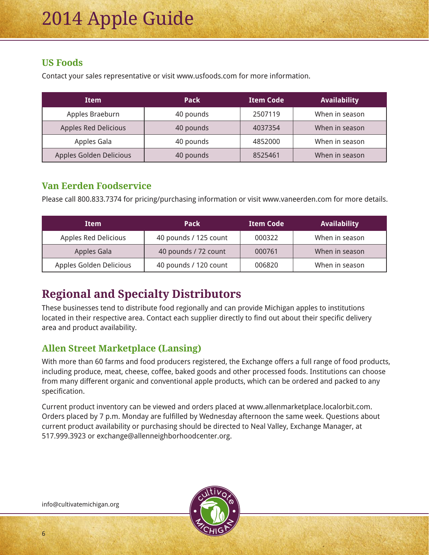## **US Foods**

Contact your sales representative or visit www.usfoods.com for more information.

| <b>Item</b>                 | Pack      | <b>Item Code</b> | Availability   |
|-----------------------------|-----------|------------------|----------------|
| Apples Braeburn             | 40 pounds | 2507119          | When in season |
| <b>Apples Red Delicious</b> | 40 pounds | 4037354          | When in season |
| Apples Gala                 | 40 pounds | 4852000          | When in season |
| Apples Golden Delicious     | 40 pounds | 8525461          | When in season |

## **Van Eerden Foodservice**

Please call 800.833.7374 for pricing/purchasing information or visit www.vaneerden.com for more details.

| Item                    | <b>Pack</b>           | <b>Item Code</b> | <b>Availability</b> |
|-------------------------|-----------------------|------------------|---------------------|
| Apples Red Delicious    | 40 pounds / 125 count | 000322           | When in season      |
| Apples Gala             | 40 pounds / 72 count  | 000761           | When in season      |
| Apples Golden Delicious | 40 pounds / 120 count | 006820           | When in season      |

# **Regional and Specialty Distributors**

These businesses tend to distribute food regionally and can provide Michigan apples to institutions located in their respective area. Contact each supplier directly to find out about their specific delivery area and product availability.

## **Allen Street Marketplace (Lansing)**

With more than 60 farms and food producers registered, the Exchange offers a full range of food products, including produce, meat, cheese, coffee, baked goods and other processed foods. Institutions can choose from many different organic and conventional apple products, which can be ordered and packed to any specification.

Current product inventory can be viewed and orders placed at www.allenmarketplace.localorbit.com. Orders placed by 7 p.m. Monday are fulfilled by Wednesday afternoon the same week. Questions about current product availability or purchasing should be directed to Neal Valley, Exchange Manager, at 517.999.3923 or exchange@allenneighborhoodcenter.org.

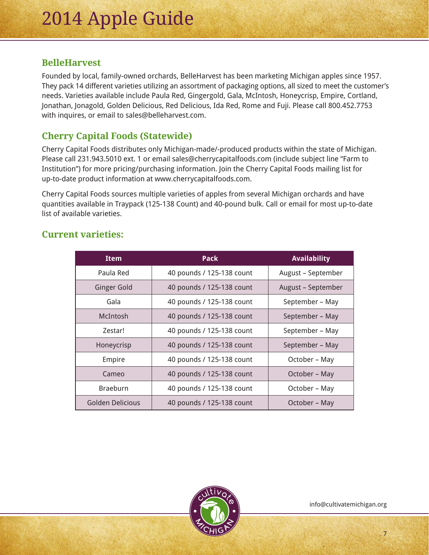### **BelleHarvest**

Founded by local, family-owned orchards, BelleHarvest has been marketing Michigan apples since 1957. They pack 14 different varieties utilizing an assortment of packaging options, all sized to meet the customer's needs. Varieties available include Paula Red, Gingergold, Gala, McIntosh, Honeycrisp, Empire, Cortland, Jonathan, Jonagold, Golden Delicious, Red Delicious, Ida Red, Rome and Fuji. Please call 800.452.7753 with inquires, or email to sales@belleharvest.com.

## **Cherry Capital Foods (Statewide)**

Cherry Capital Foods distributes only Michigan-made/-produced products within the state of Michigan. Please call 231.943.5010 ext. 1 or email sales@cherrycapitalfoods.com (include subject line "Farm to Institution") for more pricing/purchasing information. Join the Cherry Capital Foods mailing list for up-to-date product information at www.cherrycapitalfoods.com.

Cherry Capital Foods sources multiple varieties of apples from several Michigan orchards and have quantities available in Traypack (125-138 Count) and 40-pound bulk. Call or email for most up-to-date list of available varieties.

| <b>Item</b>        | <b>Pack</b>               | <b>Availability</b> |
|--------------------|---------------------------|---------------------|
| Paula Red          | 40 pounds / 125-138 count | August - September  |
| <b>Ginger Gold</b> | 40 pounds / 125-138 count | August - September  |
| Gala               | 40 pounds / 125-138 count | September - May     |
| McIntosh           | 40 pounds / 125-138 count | September - May     |
| Zestar!            | 40 pounds / 125-138 count | September - May     |
| Honeycrisp         | 40 pounds / 125-138 count | September - May     |
| Empire             | 40 pounds / 125-138 count | October - May       |
| Cameo              | 40 pounds / 125-138 count | October - May       |
| <b>Braeburn</b>    | 40 pounds / 125-138 count | October - May       |
| Golden Delicious   | 40 pounds / 125-138 count | October – May       |

## **Current varieties:**

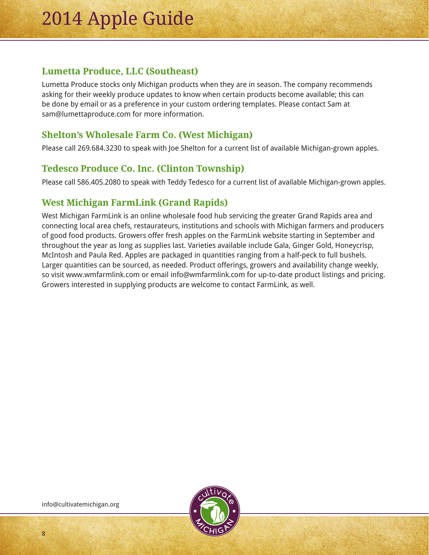## **Lumetta Produce, LLC (Southeast)**

Lumetta Produce stocks only Michigan products when they are in season. The company recommends asking for their weekly produce updates to know when certain products become available; this can be done by email or as a preference in your custom ordering templates. Please contact Sam at sam@lumettaproduce.com for more information.

## **Shelton's Wholesale Farm Co. (West Michigan)**

Please call 269.684.3230 to speak with Joe Shelton for a current list of available Michigan-grown apples.

## **Tedesco Produce Co. Inc. (Clinton Township)**

Please call 586.405.2080 to speak with Teddy Tedesco for a current list of available Michigan-grown apples.

## **West Michigan FarmLink (Grand Rapids)**

West Michigan FarmLink is an online wholesale food hub servicing the greater Grand Rapids area and connecting local area chefs, restaurateurs, institutions and schools with Michigan farmers and producers of good food products. Growers offer fresh apples on the FarmLink website starting in September and throughout the year as long as supplies last. Varieties available include Gala, Ginger Gold, Honeycrisp, McIntosh and Paula Red. Apples are packaged in quantities ranging from a half-peck to full bushels. Larger quantities can be sourced, as needed. Product offerings, growers and availability change weekly, so visit www.wmfarmlink.com or email info@wmfarmlink.com for up-to-date product listings and pricing. Growers interested in supplying products are welcome to contact FarmLink, as well.



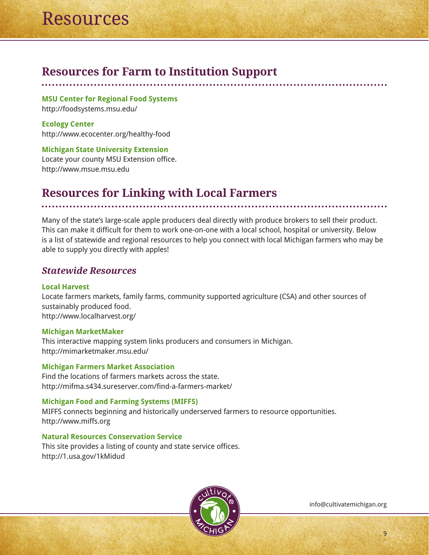## **Resources for Farm to Institution Support**

**MSU Center for Regional Food Systems**  http://foodsystems.msu.edu/

**Ecology Center**  http://www.ecocenter.org/healthy-food

**Michigan State University Extension** Locate your county MSU Extension office. http://www.msue.msu.edu

## **Resources for Linking with Local Farmers**

Many of the state's large-scale apple producers deal directly with produce brokers to sell their product. This can make it difficult for them to work one-on-one with a local school, hospital or university. Below is a list of statewide and regional resources to help you connect with local Michigan farmers who may be able to supply you directly with apples!

### *Statewide Resources*

#### **Local Harvest**

Locate farmers markets, family farms, community supported agriculture (CSA) and other sources of sustainably produced food. http://www.localharvest.org/

#### **Michigan MarketMaker**

This interactive mapping system links producers and consumers in Michigan. http://mimarketmaker.msu.edu/

**Michigan Farmers Market Association** Find the locations of farmers markets across the state. http://mifma.s434.sureserver.com/find-a-farmers-market/

#### **Michigan Food and Farming Systems (MIFFS)**

MIFFS connects beginning and historically underserved farmers to resource opportunities. http://www.miffs.org

#### **Natural Resources Conservation Service**

This site provides a listing of county and state service offices. http://1.usa.gov/1kMidud

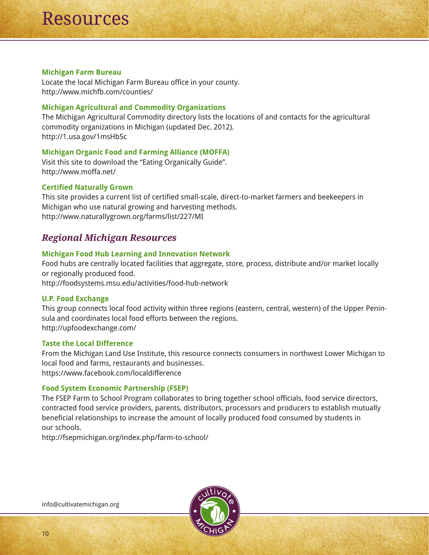#### **Michigan Farm Bureau**

Locate the local Michigan Farm Bureau office in your county. http://www.michfb.com/counties/

#### **Michigan Agricultural and Commodity Organizations**

The Michigan Agricultural Commodity directory lists the locations of and contacts for the agricultural commodity organizations in Michigan (updated Dec. 2012). http://1.usa.gov/1msHb5c

#### **Michigan Organic Food and Farming Alliance (MOFFA)**

Visit this site to download the "Eating Organically Guide". http://www.moffa.net/

#### **Certified Naturally Grown**

This site provides a current list of certified small-scale, direct-to-market farmers and beekeepers in Michigan who use natural growing and harvesting methods. http://www.naturallygrown.org/farms/list/227/MI

### *Regional Michigan Resources*

#### **Michigan Food Hub Learning and Innovation Network**

Food hubs are centrally located facilities that aggregate, store, process, distribute and/or market locally or regionally produced food.

http://foodsystems.msu.edu/activities/food-hub-network

#### **U.P. Food Exchange**

This group connects local food activity within three regions (eastern, central, western) of the Upper Peninsula and coordinates local food efforts between the regions. http://upfoodexchange.com/

#### **Taste the Local Difference**

From the Michigan Land Use Institute, this resource connects consumers in northwest Lower Michigan to local food and farms, restaurants and businesses. https://www.facebook.com/localdifference

#### **Food System Economic Partnership (FSEP)**

The FSEP Farm to School Program collaborates to bring together school officials, food service directors, contracted food service providers, parents, distributors, processors and producers to establish mutually beneficial relationships to increase the amount of locally produced food consumed by students in our schools.

http://fsepmichigan.org/index.php/farm-to-school/

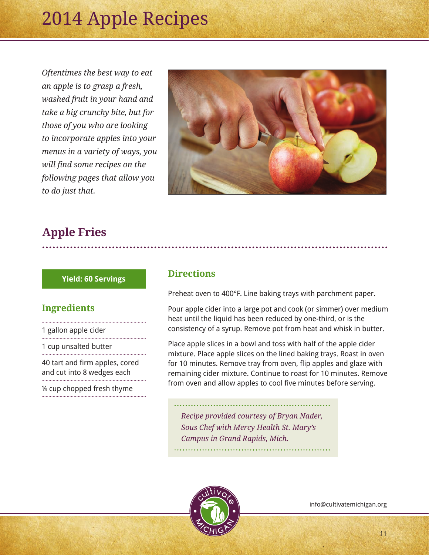*Oftentimes the best way to eat an apple is to grasp a fresh, washed fruit in your hand and take a big crunchy bite, but for those of you who are looking to incorporate apples into your menus in a variety of ways, you will find some recipes on the following pages that allow you to do just that.* 



## **Apple Fries**

#### **Yield: 60 Servings**

#### **Ingredients**

1 gallon apple cider

1 cup unsalted butter

40 tart and firm apples, cored and cut into 8 wedges each

¼ cup chopped fresh thyme

#### **Directions**

Preheat oven to 400°F. Line baking trays with parchment paper.

Pour apple cider into a large pot and cook (or simmer) over medium heat until the liquid has been reduced by one-third, or is the consistency of a syrup. Remove pot from heat and whisk in butter.

Place apple slices in a bowl and toss with half of the apple cider mixture. Place apple slices on the lined baking trays. Roast in oven for 10 minutes. Remove tray from oven, flip apples and glaze with remaining cider mixture. Continue to roast for 10 minutes. Remove from oven and allow apples to cool five minutes before serving.

*Recipe provided courtesy of Bryan Nader, Sous Chef with Mercy Health St. Mary's Campus in Grand Rapids, Mich.*

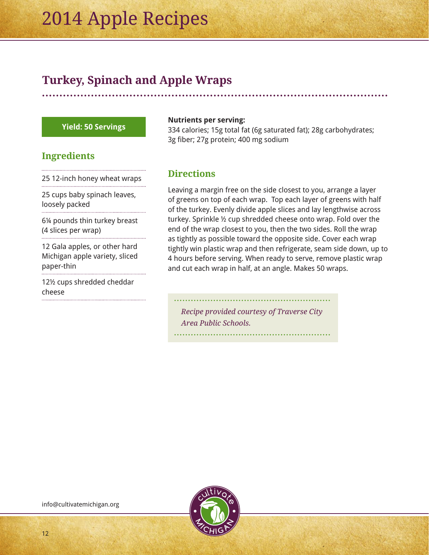## **Turkey, Spinach and Apple Wraps**

#### **Yield: 50 Servings**

#### **Ingredients**

25 12-inch honey wheat wraps

25 cups baby spinach leaves, loosely packed

6¼ pounds thin turkey breast (4 slices per wrap)

12 Gala apples, or other hard Michigan apple variety, sliced paper-thin

12½ cups shredded cheddar cheese

#### **Nutrients per serving:**

334 calories; 15g total fat (6g saturated fat); 28g carbohydrates; 3g fiber; 27g protein; 400 mg sodium

#### **Directions**

Leaving a margin free on the side closest to you, arrange a layer of greens on top of each wrap. Top each layer of greens with half of the turkey. Evenly divide apple slices and lay lengthwise across turkey. Sprinkle ½ cup shredded cheese onto wrap. Fold over the end of the wrap closest to you, then the two sides. Roll the wrap as tightly as possible toward the opposite side. Cover each wrap tightly win plastic wrap and then refrigerate, seam side down, up to 4 hours before serving. When ready to serve, remove plastic wrap and cut each wrap in half, at an angle. Makes 50 wraps.

*Recipe provided courtesy of Traverse City Area Public Schools.*

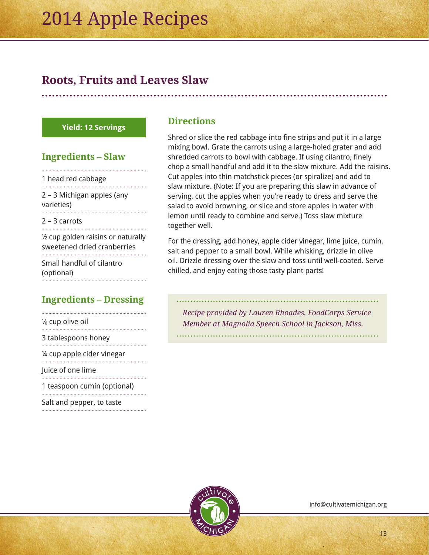## **Roots, Fruits and Leaves Slaw**

#### **Yield: 12 Servings**

### **Ingredients – Slaw**

1 head red cabbage

2 – 3 Michigan apples (any varieties)

2 – 3 carrots 

½ cup golden raisins or naturally sweetened dried cranberries

Small handful of cilantro (optional)

## **Ingredients – Dressing**

| 1/8 cup olive oil              |
|--------------------------------|
| 3 tablespoons honey            |
| 1/4 cup apple cider vinegar    |
| Juice of one lime              |
| 1 tagan gan gunain lantis nall |

1 teaspoon cumin (optional) 

Salt and pepper, to taste

### **Directions**

Shred or slice the red cabbage into fine strips and put it in a large mixing bowl. Grate the carrots using a large-holed grater and add shredded carrots to bowl with cabbage. If using cilantro, finely chop a small handful and add it to the slaw mixture. Add the raisins. Cut apples into thin matchstick pieces (or spiralize) and add to slaw mixture. (Note: If you are preparing this slaw in advance of serving, cut the apples when you're ready to dress and serve the salad to avoid browning, or slice and store apples in water with lemon until ready to combine and serve.) Toss slaw mixture together well.

For the dressing, add honey, apple cider vinegar, lime juice, cumin, salt and pepper to a small bowl. While whisking, drizzle in olive oil. Drizzle dressing over the slaw and toss until well-coated. Serve chilled, and enjoy eating those tasty plant parts!

*Recipe provided by Lauren Rhoades, FoodCorps Service Member at Magnolia Speech School in Jackson, Miss.*

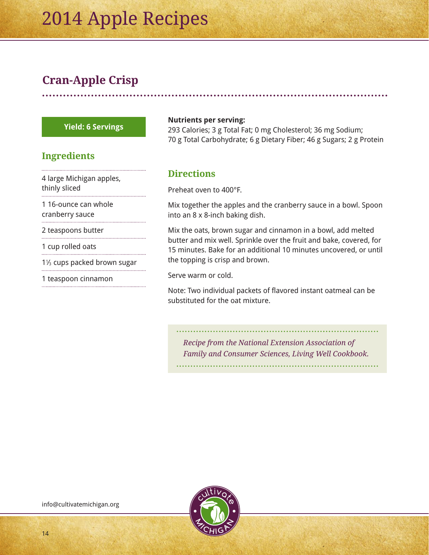# **Cran-Apple Crisp**

#### **Yield: 6 Servings**

### **Ingredients**

4 large Michigan apples, thinly sliced

1 16-ounce can whole cranberry sauce

2 teaspoons butter

1 cup rolled oats

1<sup>1</sup>/<sub>3</sub> cups packed brown sugar 

1 teaspoon cinnamon

#### **Nutrients per serving:**

293 Calories; 3 g Total Fat; 0 mg Cholesterol; 36 mg Sodium; 70 g Total Carbohydrate; 6 g Dietary Fiber; 46 g Sugars; 2 g Protein

### **Directions**

Preheat oven to 400°F.

Mix together the apples and the cranberry sauce in a bowl. Spoon into an 8 x 8-inch baking dish.

Mix the oats, brown sugar and cinnamon in a bowl, add melted butter and mix well. Sprinkle over the fruit and bake, covered, for 15 minutes. Bake for an additional 10 minutes uncovered, or until the topping is crisp and brown.

Serve warm or cold.

Note: Two individual packets of flavored instant oatmeal can be substituted for the oat mixture.

*Recipe from the National Extension Association of Family and Consumer Sciences, Living Well Cookbook.*

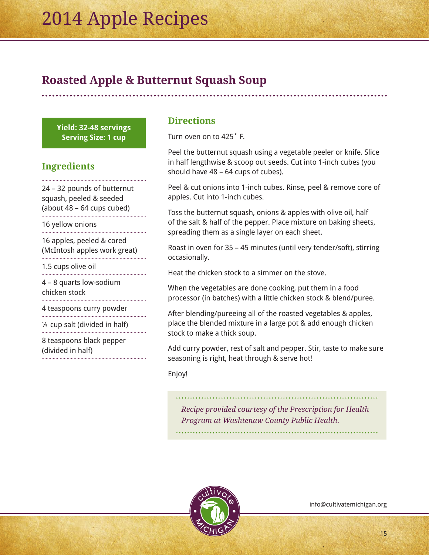## **Roasted Apple & Butternut Squash Soup**

**Yield: 32-48 servings Serving Size: 1 cup**

## **Ingredients**

24 – 32 pounds of butternut squash, peeled & seeded (about 48 – 64 cups cubed)

16 yellow onions

16 apples, peeled & cored (McIntosh apples work great)

1.5 cups olive oil

4 – 8 quarts low-sodium chicken stock

4 teaspoons curry powder

1 ⁄3 cup salt (divided in half)

8 teaspoons black pepper (divided in half)

#### **Directions**

Turn oven on to 425˚ F.

Peel the butternut squash using a vegetable peeler or knife. Slice in half lengthwise & scoop out seeds. Cut into 1-inch cubes (you should have 48 – 64 cups of cubes).

Peel & cut onions into 1-inch cubes. Rinse, peel & remove core of apples. Cut into 1-inch cubes.

Toss the butternut squash, onions & apples with olive oil, half of the salt & half of the pepper. Place mixture on baking sheets, spreading them as a single layer on each sheet.

Roast in oven for 35 – 45 minutes (until very tender/soft), stirring occasionally.

Heat the chicken stock to a simmer on the stove.

When the vegetables are done cooking, put them in a food processor (in batches) with a little chicken stock & blend/puree.

After blending/pureeing all of the roasted vegetables & apples, place the blended mixture in a large pot & add enough chicken stock to make a thick soup.

Add curry powder, rest of salt and pepper. Stir, taste to make sure seasoning is right, heat through & serve hot!

#### Enjoy!

*Recipe provided courtesy of the Prescription for Health Program at Washtenaw County Public Health.*